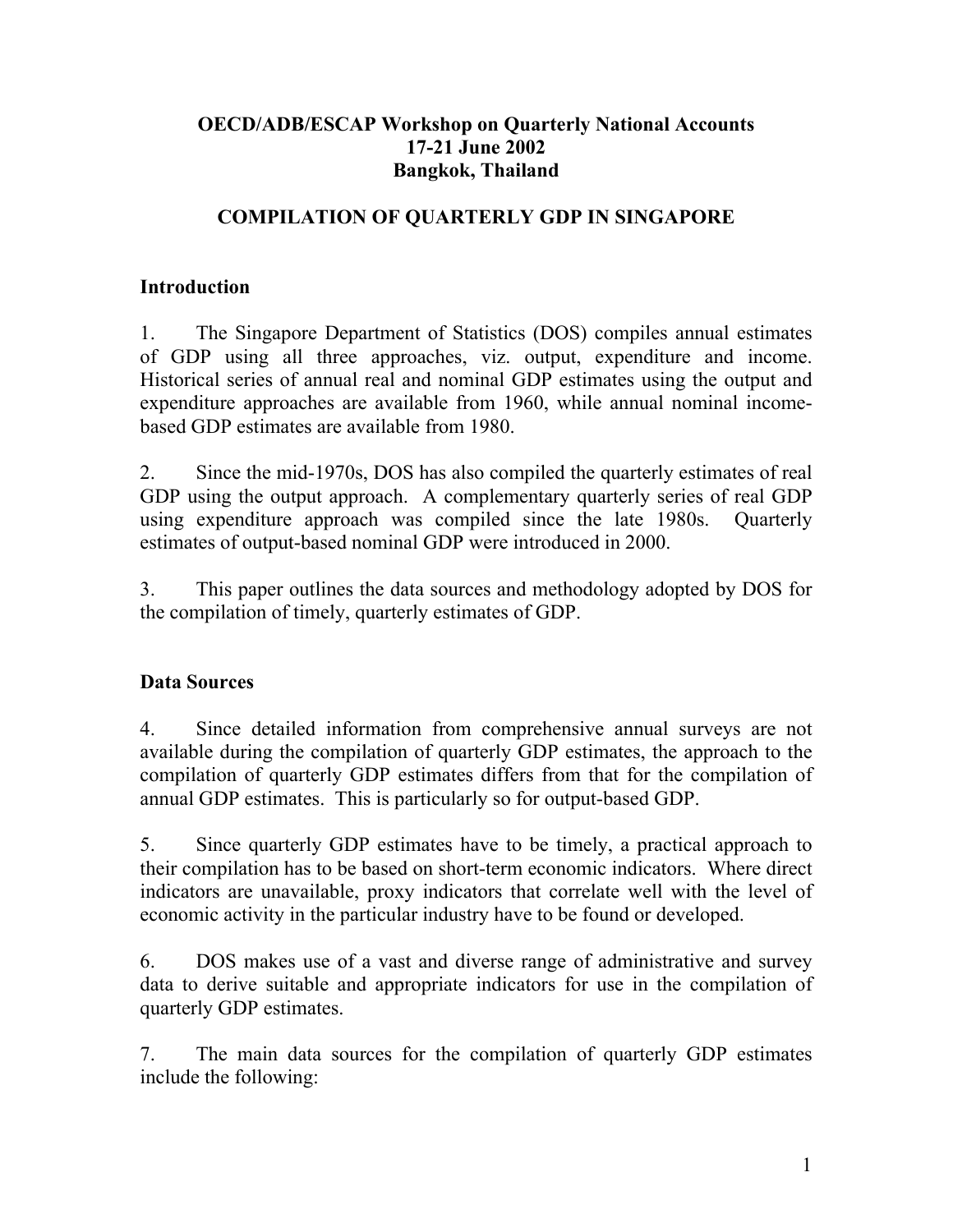### **OECD/ADB/ESCAP Workshop on Quarterly National Accounts 17-21 June 2002 Bangkok, Thailand**

### **COMPILATION OF QUARTERLY GDP IN SINGAPORE**

#### **Introduction**

1. The Singapore Department of Statistics (DOS) compiles annual estimates of GDP using all three approaches, viz. output, expenditure and income. Historical series of annual real and nominal GDP estimates using the output and expenditure approaches are available from 1960, while annual nominal incomebased GDP estimates are available from 1980.

2. Since the mid-1970s, DOS has also compiled the quarterly estimates of real GDP using the output approach. A complementary quarterly series of real GDP using expenditure approach was compiled since the late 1980s. Quarterly estimates of output-based nominal GDP were introduced in 2000.

3. This paper outlines the data sources and methodology adopted by DOS for the compilation of timely, quarterly estimates of GDP.

#### **Data Sources**

4. Since detailed information from comprehensive annual surveys are not available during the compilation of quarterly GDP estimates, the approach to the compilation of quarterly GDP estimates differs from that for the compilation of annual GDP estimates. This is particularly so for output-based GDP.

5. Since quarterly GDP estimates have to be timely, a practical approach to their compilation has to be based on short-term economic indicators. Where direct indicators are unavailable, proxy indicators that correlate well with the level of economic activity in the particular industry have to be found or developed.

6. DOS makes use of a vast and diverse range of administrative and survey data to derive suitable and appropriate indicators for use in the compilation of quarterly GDP estimates.

7. The main data sources for the compilation of quarterly GDP estimates include the following: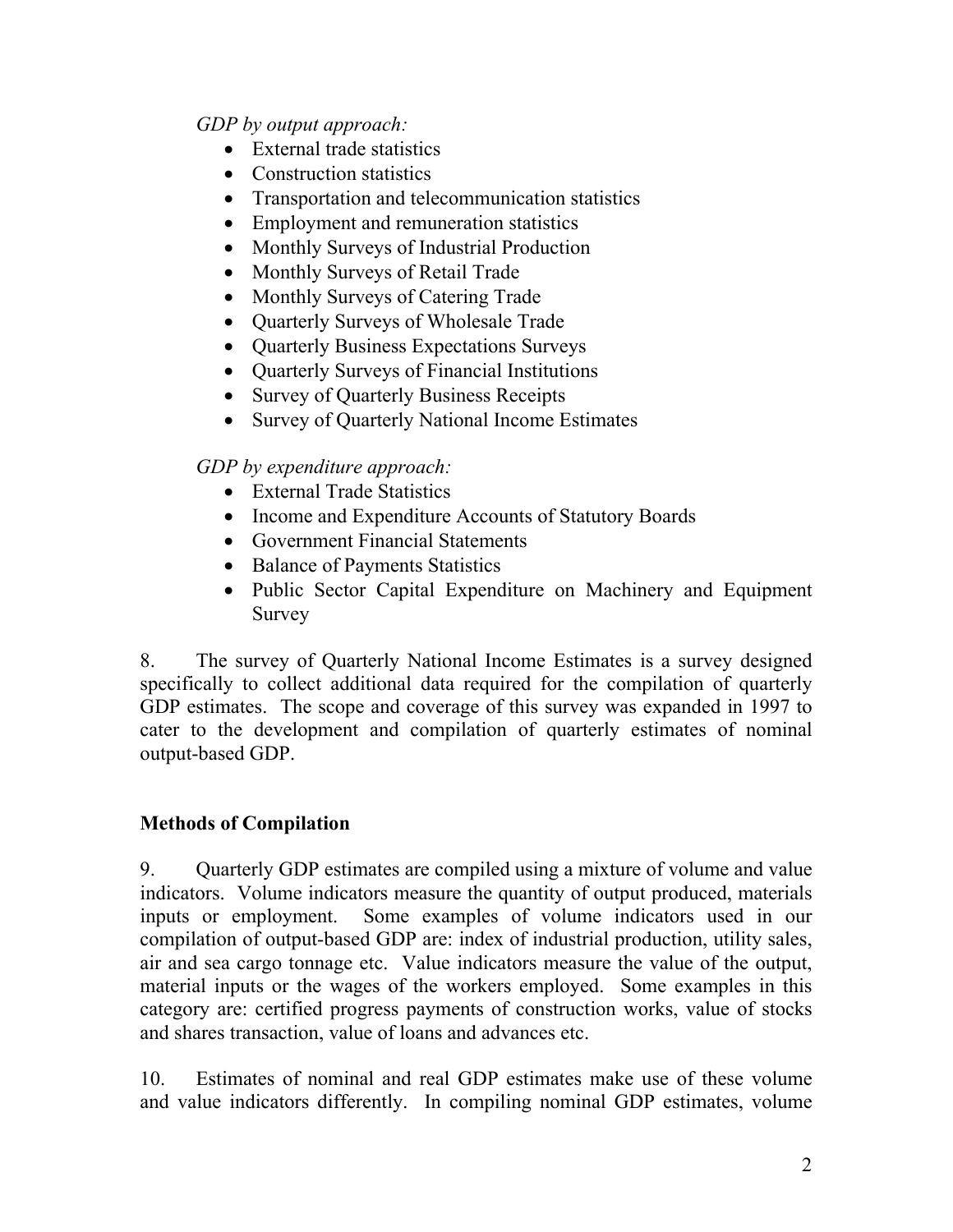#### *GDP by output approach:*

- External trade statistics
- Construction statistics
- Transportation and telecommunication statistics
- Employment and remuneration statistics
- Monthly Surveys of Industrial Production
- Monthly Surveys of Retail Trade
- Monthly Surveys of Catering Trade
- Quarterly Surveys of Wholesale Trade
- Quarterly Business Expectations Surveys
- Quarterly Surveys of Financial Institutions
- Survey of Quarterly Business Receipts
- Survey of Quarterly National Income Estimates

# *GDP by expenditure approach:*

- External Trade Statistics
- Income and Expenditure Accounts of Statutory Boards
- Government Financial Statements
- Balance of Payments Statistics
- Public Sector Capital Expenditure on Machinery and Equipment Survey

8. The survey of Quarterly National Income Estimates is a survey designed specifically to collect additional data required for the compilation of quarterly GDP estimates. The scope and coverage of this survey was expanded in 1997 to cater to the development and compilation of quarterly estimates of nominal output-based GDP.

# **Methods of Compilation**

9. Quarterly GDP estimates are compiled using a mixture of volume and value indicators. Volume indicators measure the quantity of output produced, materials inputs or employment. Some examples of volume indicators used in our compilation of output-based GDP are: index of industrial production, utility sales, air and sea cargo tonnage etc. Value indicators measure the value of the output, material inputs or the wages of the workers employed. Some examples in this category are: certified progress payments of construction works, value of stocks and shares transaction, value of loans and advances etc.

10. Estimates of nominal and real GDP estimates make use of these volume and value indicators differently. In compiling nominal GDP estimates, volume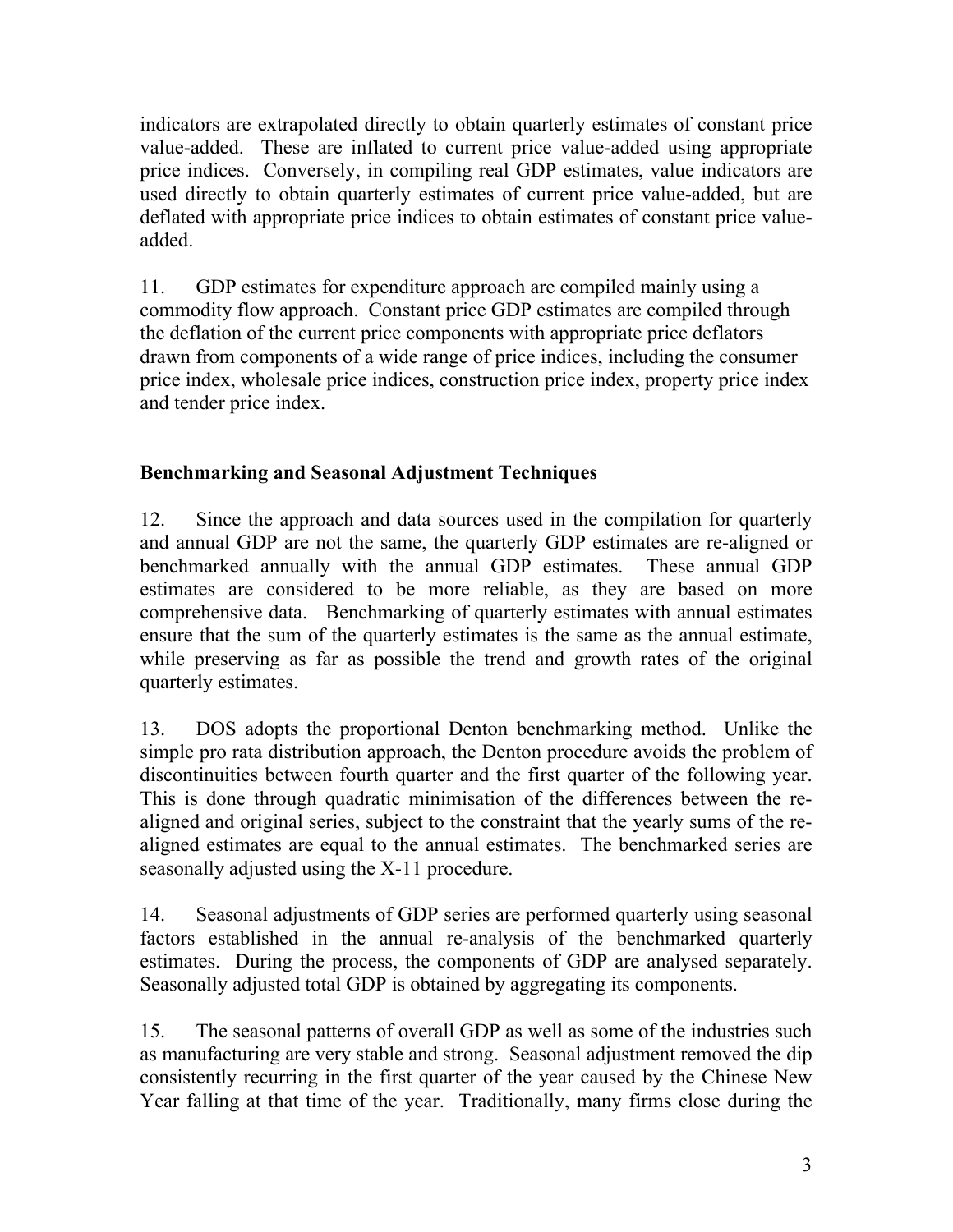indicators are extrapolated directly to obtain quarterly estimates of constant price value-added. These are inflated to current price value-added using appropriate price indices. Conversely, in compiling real GDP estimates, value indicators are used directly to obtain quarterly estimates of current price value-added, but are deflated with appropriate price indices to obtain estimates of constant price valueadded.

11. GDP estimates for expenditure approach are compiled mainly using a commodity flow approach. Constant price GDP estimates are compiled through the deflation of the current price components with appropriate price deflators drawn from components of a wide range of price indices, including the consumer price index, wholesale price indices, construction price index, property price index and tender price index.

# **Benchmarking and Seasonal Adjustment Techniques**

12. Since the approach and data sources used in the compilation for quarterly and annual GDP are not the same, the quarterly GDP estimates are re-aligned or benchmarked annually with the annual GDP estimates. These annual GDP estimates are considered to be more reliable, as they are based on more comprehensive data. Benchmarking of quarterly estimates with annual estimates ensure that the sum of the quarterly estimates is the same as the annual estimate, while preserving as far as possible the trend and growth rates of the original quarterly estimates.

13. DOS adopts the proportional Denton benchmarking method. Unlike the simple pro rata distribution approach, the Denton procedure avoids the problem of discontinuities between fourth quarter and the first quarter of the following year. This is done through quadratic minimisation of the differences between the realigned and original series, subject to the constraint that the yearly sums of the realigned estimates are equal to the annual estimates. The benchmarked series are seasonally adjusted using the X-11 procedure.

14. Seasonal adjustments of GDP series are performed quarterly using seasonal factors established in the annual re-analysis of the benchmarked quarterly estimates. During the process, the components of GDP are analysed separately. Seasonally adjusted total GDP is obtained by aggregating its components.

15. The seasonal patterns of overall GDP as well as some of the industries such as manufacturing are very stable and strong. Seasonal adjustment removed the dip consistently recurring in the first quarter of the year caused by the Chinese New Year falling at that time of the year. Traditionally, many firms close during the